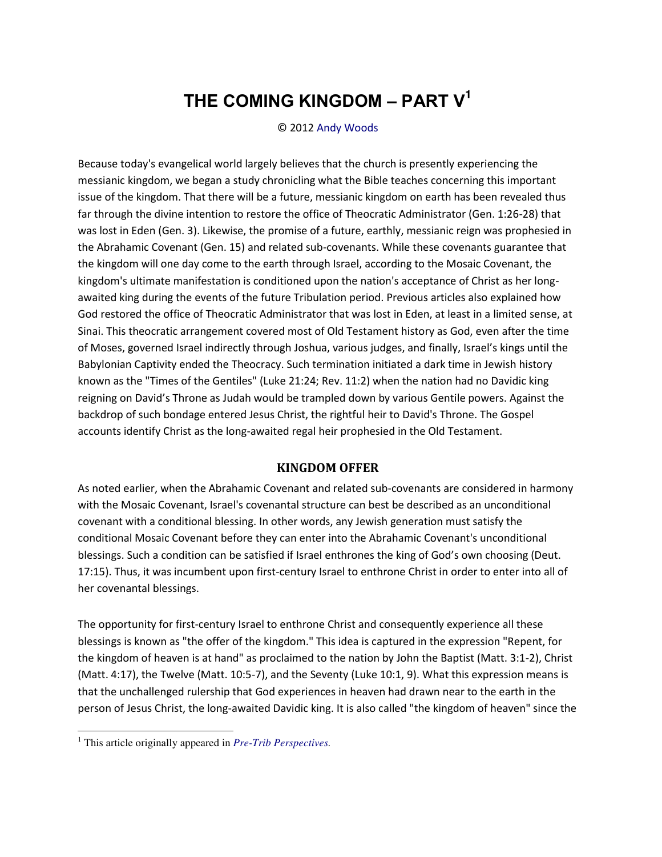## **THE COMING KINGDOM ‒ PART V<sup>1</sup>**

© 2012 [Andy Woods](http://www.spiritandtruth.org/id/aw.htm) 

Because today's evangelical world largely believes that the church is presently experiencing the messianic kingdom, we began a study chronicling what the Bible teaches concerning this important issue of the kingdom. That there will be a future, messianic kingdom on earth has been revealed thus far through the divine intention to restore the office of Theocratic Administrator (Gen. 1:26-28) that was lost in Eden (Gen. 3). Likewise, the promise of a future, earthly, messianic reign was prophesied in the Abrahamic Covenant (Gen. 15) and related sub-covenants. While these covenants guarantee that the kingdom will one day come to the earth through Israel, according to the Mosaic Covenant, the kingdom's ultimate manifestation is conditioned upon the nation's acceptance of Christ as her longawaited king during the events of the future Tribulation period. Previous articles also explained how God restored the office of Theocratic Administrator that was lost in Eden, at least in a limited sense, at Sinai. This theocratic arrangement covered most of Old Testament history as God, even after the time of Moses, governed Israel indirectly through Joshua, various judges, and finally, Israel's kings until the Babylonian Captivity ended the Theocracy. Such termination initiated a dark time in Jewish history known as the "Times of the Gentiles" (Luke 21:24; Rev. 11:2) when the nation had no Davidic king reigning on David's Throne as Judah would be trampled down by various Gentile powers. Against the backdrop of such bondage entered Jesus Christ, the rightful heir to David's Throne. The Gospel accounts identify Christ as the long-awaited regal heir prophesied in the Old Testament.

## **KINGDOM OFFER**

As noted earlier, when the Abrahamic Covenant and related sub-covenants are considered in harmony with the Mosaic Covenant, Israel's covenantal structure can best be described as an unconditional covenant with a conditional blessing. In other words, any Jewish generation must satisfy the conditional Mosaic Covenant before they can enter into the Abrahamic Covenant's unconditional blessings. Such a condition can be satisfied if Israel enthrones the king of God's own choosing (Deut. 17:15). Thus, it was incumbent upon first-century Israel to enthrone Christ in order to enter into all of her covenantal blessings.

The opportunity for first-century Israel to enthrone Christ and consequently experience all these blessings is known as "the offer of the kingdom." This idea is captured in the expression "Repent, for the kingdom of heaven is at hand" as proclaimed to the nation by John the Baptist (Matt. 3:1-2), Christ (Matt. 4:17), the Twelve (Matt. 10:5-7), and the Seventy (Luke 10:1, 9). What this expression means is that the unchallenged rulership that God experiences in heaven had drawn near to the earth in the person of Jesus Christ, the long-awaited Davidic king. It is also called "the kingdom of heaven" since the

 $\overline{a}$ 

<sup>1</sup> This article originally appeared in *[Pre-Trib Perspectives.](http://www.pre-trib.org/)*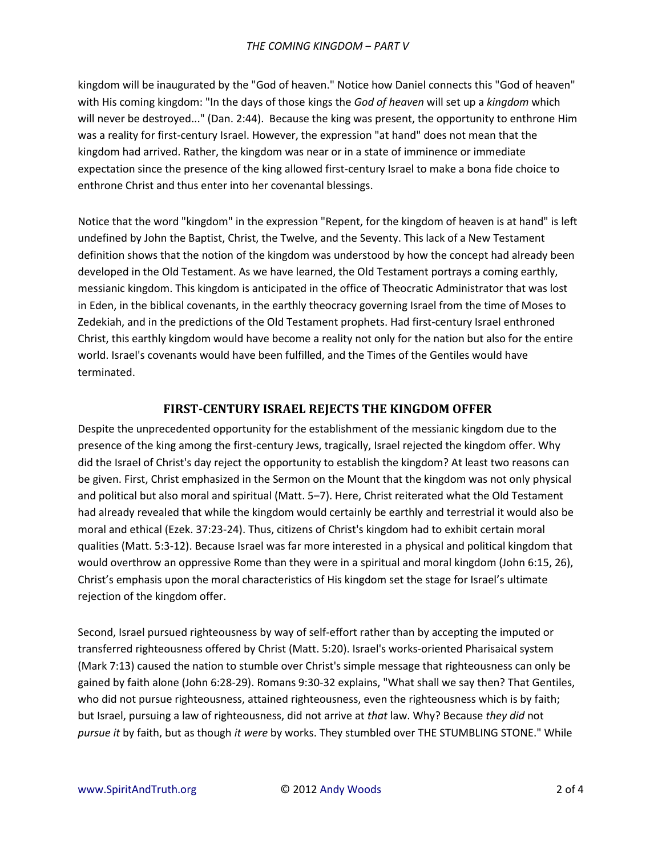kingdom will be inaugurated by the "God of heaven." Notice how Daniel connects this "God of heaven" with His coming kingdom: "In the days of those kings the *God of heaven* will set up a *kingdom* which will never be destroyed..." (Dan. 2:44). Because the king was present, the opportunity to enthrone Him was a reality for first-century Israel. However, the expression "at hand" does not mean that the kingdom had arrived. Rather, the kingdom was near or in a state of imminence or immediate expectation since the presence of the king allowed first-century Israel to make a bona fide choice to enthrone Christ and thus enter into her covenantal blessings.

Notice that the word "kingdom" in the expression "Repent, for the kingdom of heaven is at hand" is left undefined by John the Baptist, Christ, the Twelve, and the Seventy. This lack of a New Testament definition shows that the notion of the kingdom was understood by how the concept had already been developed in the Old Testament. As we have learned, the Old Testament portrays a coming earthly, messianic kingdom. This kingdom is anticipated in the office of Theocratic Administrator that was lost in Eden, in the biblical covenants, in the earthly theocracy governing Israel from the time of Moses to Zedekiah, and in the predictions of the Old Testament prophets. Had first-century Israel enthroned Christ, this earthly kingdom would have become a reality not only for the nation but also for the entire world. Israel's covenants would have been fulfilled, and the Times of the Gentiles would have terminated.

## **FIRST-CENTURY ISRAEL REJECTS THE KINGDOM OFFER**

Despite the unprecedented opportunity for the establishment of the messianic kingdom due to the presence of the king among the first-century Jews, tragically, Israel rejected the kingdom offer. Why did the Israel of Christ's day reject the opportunity to establish the kingdom? At least two reasons can be given. First, Christ emphasized in the Sermon on the Mount that the kingdom was not only physical and political but also moral and spiritual (Matt. 5–7). Here, Christ reiterated what the Old Testament had already revealed that while the kingdom would certainly be earthly and terrestrial it would also be moral and ethical (Ezek. 37:23-24). Thus, citizens of Christ's kingdom had to exhibit certain moral qualities (Matt. 5:3-12). Because Israel was far more interested in a physical and political kingdom that would overthrow an oppressive Rome than they were in a spiritual and moral kingdom (John 6:15, 26), Christ's emphasis upon the moral characteristics of His kingdom set the stage for Israel's ultimate rejection of the kingdom offer.

Second, Israel pursued righteousness by way of self-effort rather than by accepting the imputed or transferred righteousness offered by Christ (Matt. 5:20). Israel's works-oriented Pharisaical system (Mark 7:13) caused the nation to stumble over Christ's simple message that righteousness can only be gained by faith alone (John 6:28-29). Romans 9:30-32 explains, "What shall we say then? That Gentiles, who did not pursue righteousness, attained righteousness, even the righteousness which is by faith; but Israel, pursuing a law of righteousness, did not arrive at *that* law. Why? Because *they did* not *pursue it* by faith, but as though *it were* by works. They stumbled over THE STUMBLING STONE." While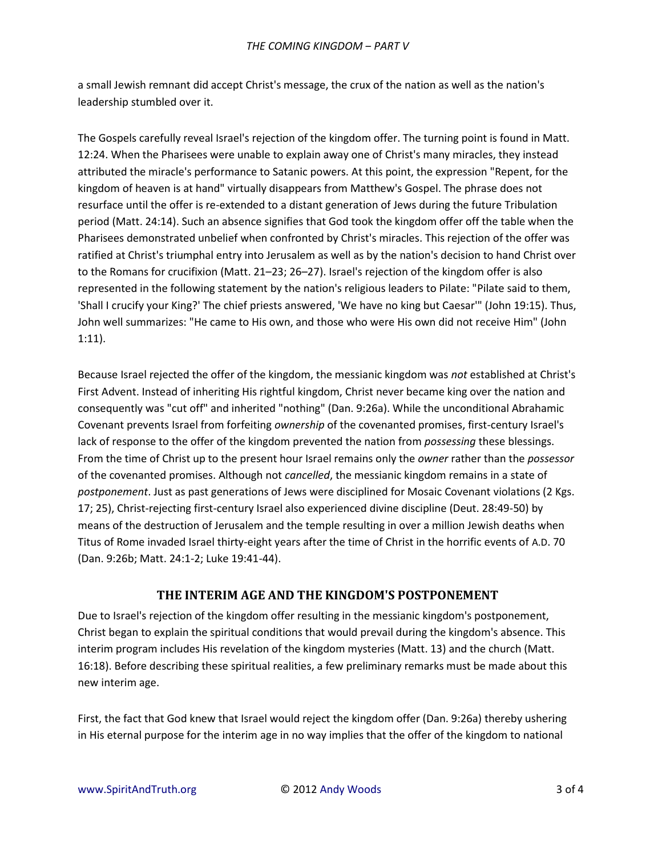a small Jewish remnant did accept Christ's message, the crux of the nation as well as the nation's leadership stumbled over it.

The Gospels carefully reveal Israel's rejection of the kingdom offer. The turning point is found in Matt. 12:24. When the Pharisees were unable to explain away one of Christ's many miracles, they instead attributed the miracle's performance to Satanic powers. At this point, the expression "Repent, for the kingdom of heaven is at hand" virtually disappears from Matthew's Gospel. The phrase does not resurface until the offer is re-extended to a distant generation of Jews during the future Tribulation period (Matt. 24:14). Such an absence signifies that God took the kingdom offer off the table when the Pharisees demonstrated unbelief when confronted by Christ's miracles. This rejection of the offer was ratified at Christ's triumphal entry into Jerusalem as well as by the nation's decision to hand Christ over to the Romans for crucifixion (Matt. 21–23; 26–27). Israel's rejection of the kingdom offer is also represented in the following statement by the nation's religious leaders to Pilate: "Pilate said to them, 'Shall I crucify your King?' The chief priests answered, 'We have no king but Caesar'" (John 19:15). Thus, John well summarizes: "He came to His own, and those who were His own did not receive Him" (John 1:11).

Because Israel rejected the offer of the kingdom, the messianic kingdom was *not* established at Christ's First Advent. Instead of inheriting His rightful kingdom, Christ never became king over the nation and consequently was "cut off" and inherited "nothing" (Dan. 9:26a). While the unconditional Abrahamic Covenant prevents Israel from forfeiting *ownership* of the covenanted promises, first-century Israel's lack of response to the offer of the kingdom prevented the nation from *possessing* these blessings. From the time of Christ up to the present hour Israel remains only the *owner* rather than the *possessor* of the covenanted promises. Although not *cancelled*, the messianic kingdom remains in a state of *postponement*. Just as past generations of Jews were disciplined for Mosaic Covenant violations (2 Kgs. 17; 25), Christ-rejecting first-century Israel also experienced divine discipline (Deut. 28:49-50) by means of the destruction of Jerusalem and the temple resulting in over a million Jewish deaths when Titus of Rome invaded Israel thirty-eight years after the time of Christ in the horrific events of A.D. 70 (Dan. 9:26b; Matt. 24:1-2; Luke 19:41-44).

## **THE INTERIM AGE AND THE KINGDOM'S POSTPONEMENT**

Due to Israel's rejection of the kingdom offer resulting in the messianic kingdom's postponement, Christ began to explain the spiritual conditions that would prevail during the kingdom's absence. This interim program includes His revelation of the kingdom mysteries (Matt. 13) and the church (Matt. 16:18). Before describing these spiritual realities, a few preliminary remarks must be made about this new interim age.

First, the fact that God knew that Israel would reject the kingdom offer (Dan. 9:26a) thereby ushering in His eternal purpose for the interim age in no way implies that the offer of the kingdom to national